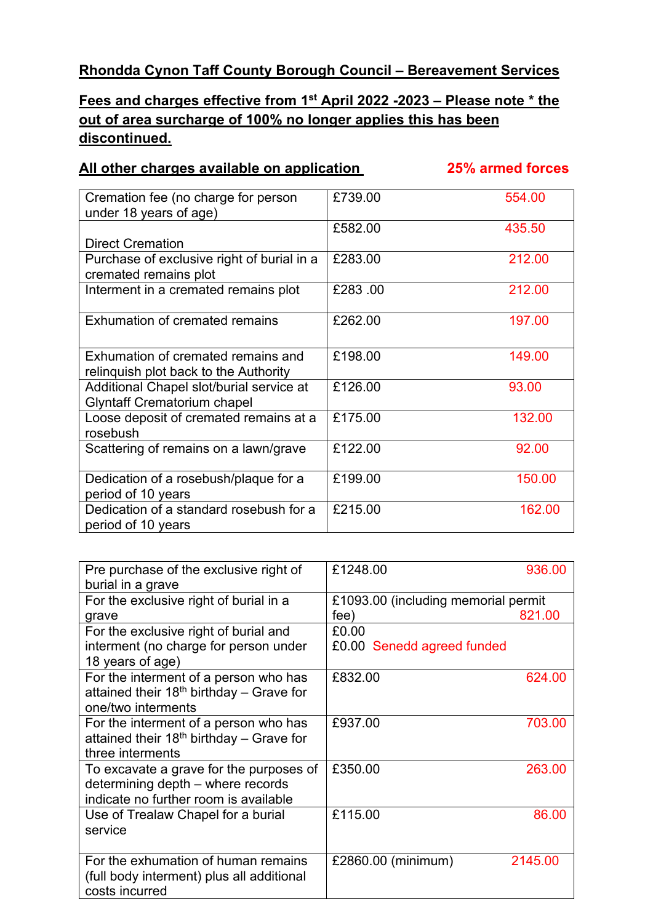## **Rhondda Cynon Taff County Borough Council – Bereavement Services**

## **Fees and charges effective from 1st April 2022 -2023 – Please note \* the out of area surcharge of 100% no longer applies this has been discontinued.**

## **All other charges available on application 25% armed forces**

| Cremation fee (no charge for person<br>under 18 years of age)                  | £739.00 | 554.00 |
|--------------------------------------------------------------------------------|---------|--------|
|                                                                                | £582.00 | 435.50 |
| <b>Direct Cremation</b>                                                        |         |        |
| Purchase of exclusive right of burial in a<br>cremated remains plot            | £283.00 | 212.00 |
| Interment in a cremated remains plot                                           | £283.00 | 212.00 |
| Exhumation of cremated remains                                                 | £262.00 | 197.00 |
| Exhumation of cremated remains and                                             | £198.00 | 149.00 |
| relinquish plot back to the Authority                                          |         |        |
| Additional Chapel slot/burial service at<br><b>Glyntaff Crematorium chapel</b> | £126.00 | 93.00  |
| Loose deposit of cremated remains at a<br>rosebush                             | £175.00 | 132.00 |
| Scattering of remains on a lawn/grave                                          | £122.00 | 92.00  |
| Dedication of a rosebush/plaque for a<br>period of 10 years                    | £199.00 | 150.00 |
| Dedication of a standard rosebush for a<br>period of 10 years                  | £215.00 | 162.00 |

| Pre purchase of the exclusive right of               | £1248.00                            | 936.00  |
|------------------------------------------------------|-------------------------------------|---------|
| burial in a grave                                    |                                     |         |
| For the exclusive right of burial in a               | £1093.00 (including memorial permit |         |
| grave                                                | fee)                                | 821.00  |
| For the exclusive right of burial and                | £0.00                               |         |
| interment (no charge for person under                | £0.00 Senedd agreed funded          |         |
| 18 years of age)                                     |                                     |         |
| For the interment of a person who has                | £832.00                             | 624.00  |
| attained their $18th$ birthday – Grave for           |                                     |         |
| one/two interments                                   |                                     |         |
| For the interment of a person who has                | £937.00                             | 703.00  |
| attained their 18 <sup>th</sup> birthday - Grave for |                                     |         |
| three interments                                     |                                     |         |
| To excavate a grave for the purposes of              | £350.00                             | 263.00  |
| determining depth - where records                    |                                     |         |
| indicate no further room is available                |                                     |         |
| Use of Trealaw Chapel for a burial                   | £115.00                             | 86.00   |
| service                                              |                                     |         |
|                                                      |                                     |         |
| For the exhumation of human remains                  | £2860.00 (minimum)                  | 2145.00 |
| (full body interment) plus all additional            |                                     |         |
| costs incurred                                       |                                     |         |
|                                                      |                                     |         |